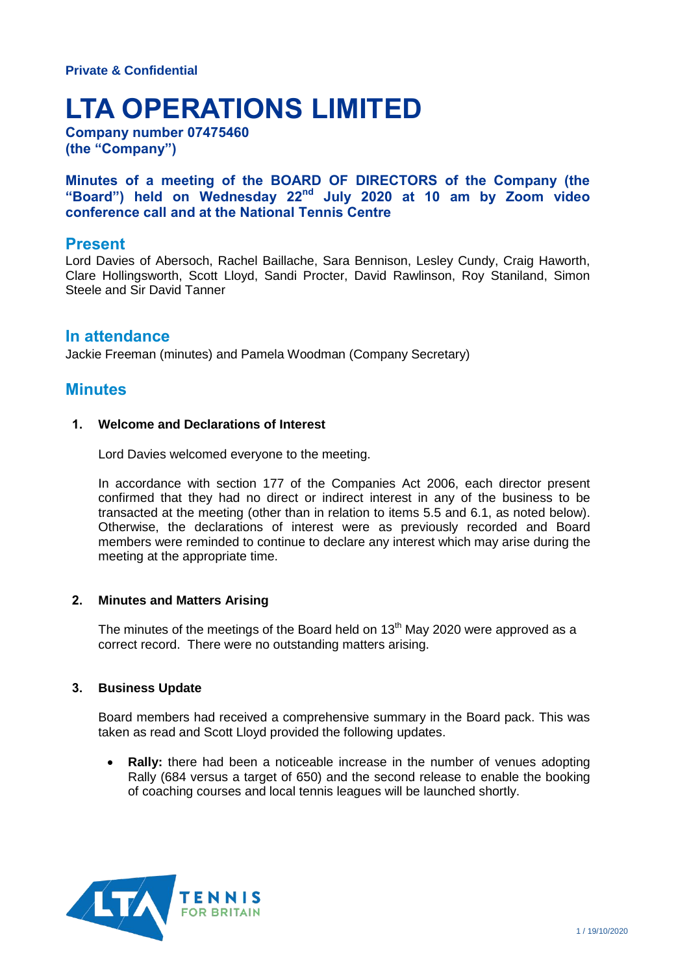# **LTA OPERATIONS LIMITED**

**Company number 07475460 (the "Company")**

**Minutes of a meeting of the BOARD OF DIRECTORS of the Company (the "Board") held on Wednesday 22nd July 2020 at 10 am by Zoom video conference call and at the National Tennis Centre**

## **Present**

Lord Davies of Abersoch, Rachel Baillache, Sara Bennison, Lesley Cundy, Craig Haworth, Clare Hollingsworth, Scott Lloyd, Sandi Procter, David Rawlinson, Roy Staniland, Simon Steele and Sir David Tanner

## **In attendance**

Jackie Freeman (minutes) and Pamela Woodman (Company Secretary)

# **Minutes**

#### **1. Welcome and Declarations of Interest**

Lord Davies welcomed everyone to the meeting.

In accordance with section 177 of the Companies Act 2006, each director present confirmed that they had no direct or indirect interest in any of the business to be transacted at the meeting (other than in relation to items 5.5 and 6.1, as noted below). Otherwise, the declarations of interest were as previously recorded and Board members were reminded to continue to declare any interest which may arise during the meeting at the appropriate time.

#### **2. Minutes and Matters Arising**

The minutes of the meetings of the Board held on  $13<sup>th</sup>$  May 2020 were approved as a correct record. There were no outstanding matters arising.

#### **3. Business Update**

Board members had received a comprehensive summary in the Board pack. This was taken as read and Scott Lloyd provided the following updates.

 **Rally:** there had been a noticeable increase in the number of venues adopting Rally (684 versus a target of 650) and the second release to enable the booking of coaching courses and local tennis leagues will be launched shortly.

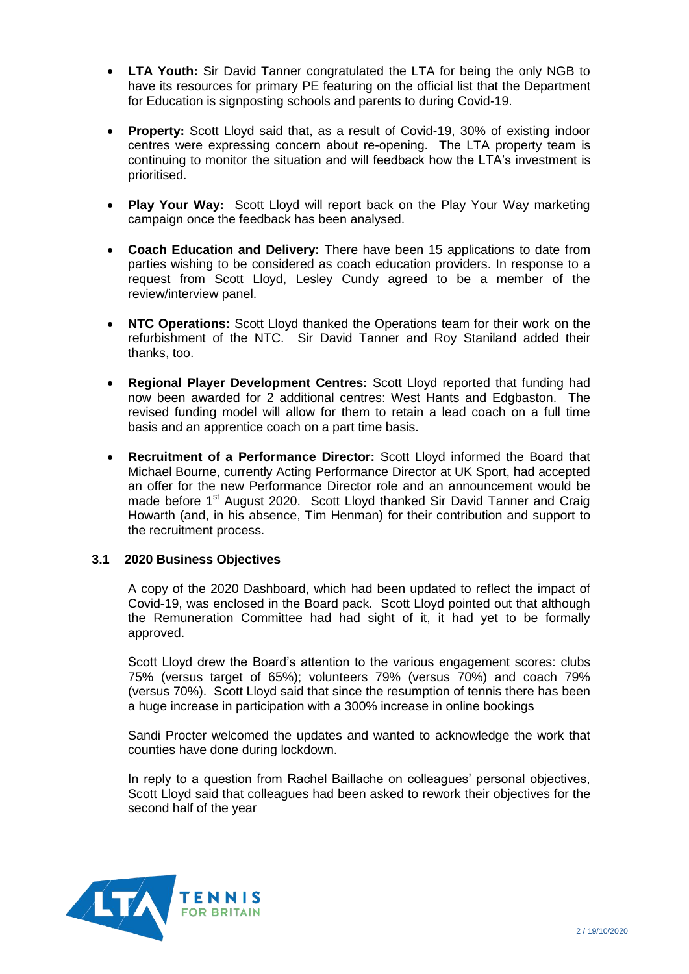- **LTA Youth:** Sir David Tanner congratulated the LTA for being the only NGB to have its resources for primary PE featuring on the official list that the Department for Education is signposting schools and parents to during Covid-19.
- **Property:** Scott Lloyd said that, as a result of Covid-19, 30% of existing indoor centres were expressing concern about re-opening. The LTA property team is continuing to monitor the situation and will feedback how the LTA's investment is prioritised.
- **Play Your Way:** Scott Lloyd will report back on the Play Your Way marketing campaign once the feedback has been analysed.
- **Coach Education and Delivery:** There have been 15 applications to date from parties wishing to be considered as coach education providers. In response to a request from Scott Lloyd, Lesley Cundy agreed to be a member of the review/interview panel.
- **NTC Operations:** Scott Lloyd thanked the Operations team for their work on the refurbishment of the NTC. Sir David Tanner and Roy Staniland added their thanks, too.
- **Regional Player Development Centres:** Scott Lloyd reported that funding had now been awarded for 2 additional centres: West Hants and Edgbaston. The revised funding model will allow for them to retain a lead coach on a full time basis and an apprentice coach on a part time basis.
- **Recruitment of a Performance Director:** Scott Lloyd informed the Board that Michael Bourne, currently Acting Performance Director at UK Sport, had accepted an offer for the new Performance Director role and an announcement would be made before 1<sup>st</sup> August 2020. Scott Lloyd thanked Sir David Tanner and Craig Howarth (and, in his absence, Tim Henman) for their contribution and support to the recruitment process.

#### **3.1 2020 Business Objectives**

A copy of the 2020 Dashboard, which had been updated to reflect the impact of Covid-19, was enclosed in the Board pack. Scott Lloyd pointed out that although the Remuneration Committee had had sight of it, it had yet to be formally approved.

Scott Lloyd drew the Board's attention to the various engagement scores: clubs 75% (versus target of 65%); volunteers 79% (versus 70%) and coach 79% (versus 70%). Scott Lloyd said that since the resumption of tennis there has been a huge increase in participation with a 300% increase in online bookings

Sandi Procter welcomed the updates and wanted to acknowledge the work that counties have done during lockdown.

In reply to a question from Rachel Baillache on colleagues' personal objectives, Scott Lloyd said that colleagues had been asked to rework their objectives for the second half of the year

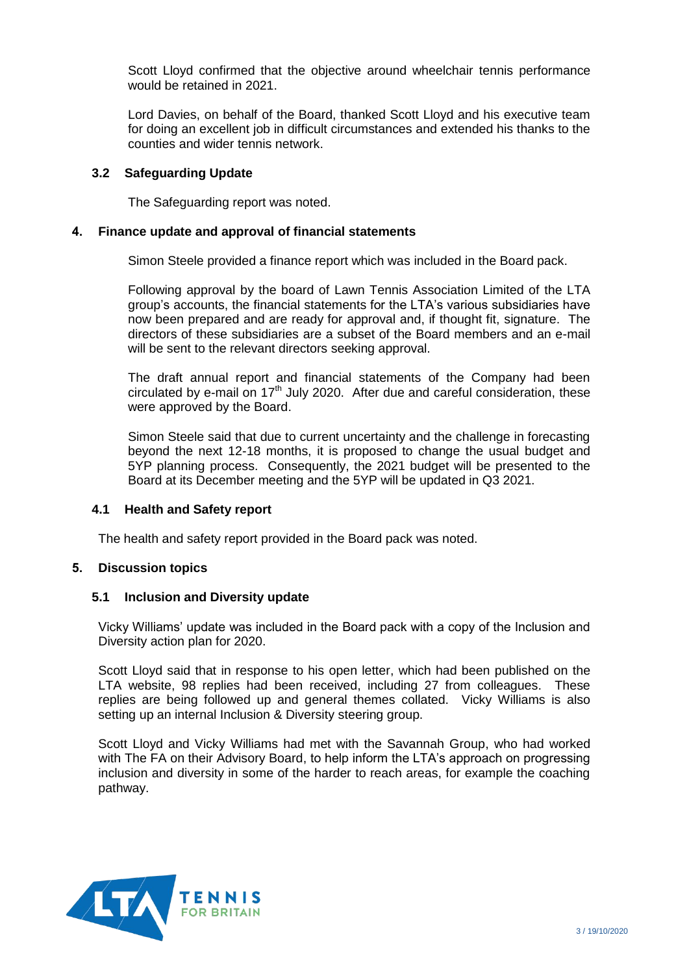Scott Lloyd confirmed that the objective around wheelchair tennis performance would be retained in 2021.

Lord Davies, on behalf of the Board, thanked Scott Lloyd and his executive team for doing an excellent job in difficult circumstances and extended his thanks to the counties and wider tennis network.

#### **3.2 Safeguarding Update**

The Safeguarding report was noted.

#### **4. Finance update and approval of financial statements**

Simon Steele provided a finance report which was included in the Board pack.

Following approval by the board of Lawn Tennis Association Limited of the LTA group's accounts, the financial statements for the LTA's various subsidiaries have now been prepared and are ready for approval and, if thought fit, signature. The directors of these subsidiaries are a subset of the Board members and an e-mail will be sent to the relevant directors seeking approval.

The draft annual report and financial statements of the Company had been circulated by e-mail on  $17<sup>th</sup>$  July 2020. After due and careful consideration, these were approved by the Board.

Simon Steele said that due to current uncertainty and the challenge in forecasting beyond the next 12-18 months, it is proposed to change the usual budget and 5YP planning process. Consequently, the 2021 budget will be presented to the Board at its December meeting and the 5YP will be updated in Q3 2021.

#### **4.1 Health and Safety report**

The health and safety report provided in the Board pack was noted.

#### **5. Discussion topics**

#### **5.1 Inclusion and Diversity update**

Vicky Williams' update was included in the Board pack with a copy of the Inclusion and Diversity action plan for 2020.

Scott Lloyd said that in response to his open letter, which had been published on the LTA website, 98 replies had been received, including 27 from colleagues. These replies are being followed up and general themes collated. Vicky Williams is also setting up an internal Inclusion & Diversity steering group.

Scott Lloyd and Vicky Williams had met with the Savannah Group, who had worked with The FA on their Advisory Board, to help inform the LTA's approach on progressing inclusion and diversity in some of the harder to reach areas, for example the coaching pathway.

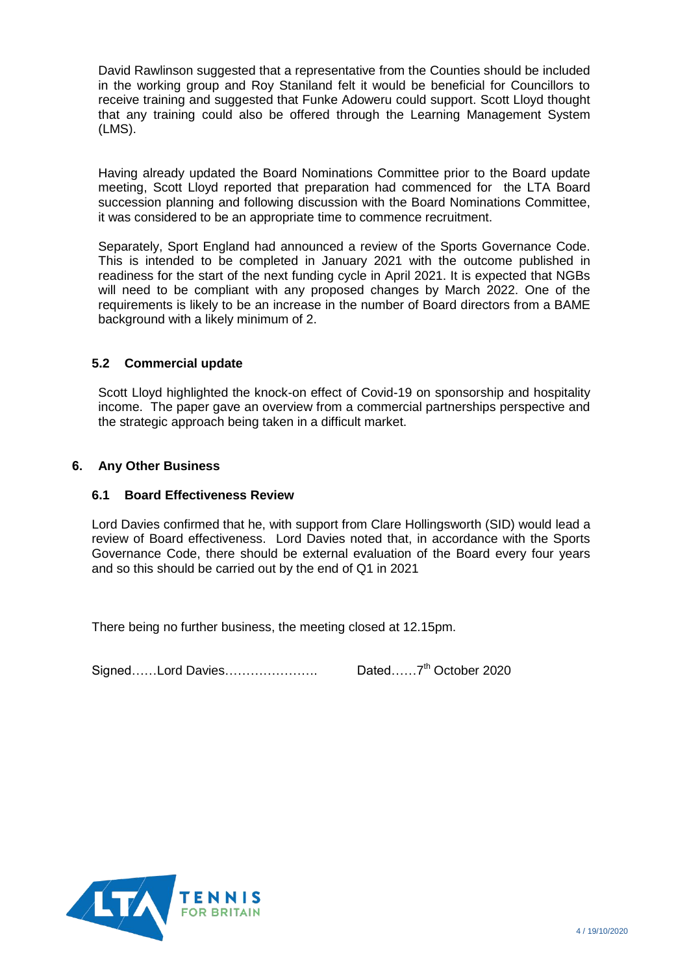David Rawlinson suggested that a representative from the Counties should be included in the working group and Roy Staniland felt it would be beneficial for Councillors to receive training and suggested that Funke Adoweru could support. Scott Lloyd thought that any training could also be offered through the Learning Management System (LMS).

Having already updated the Board Nominations Committee prior to the Board update meeting, Scott Lloyd reported that preparation had commenced for the LTA Board succession planning and following discussion with the Board Nominations Committee, it was considered to be an appropriate time to commence recruitment.

Separately, Sport England had announced a review of the Sports Governance Code. This is intended to be completed in January 2021 with the outcome published in readiness for the start of the next funding cycle in April 2021. It is expected that NGBs will need to be compliant with any proposed changes by March 2022. One of the requirements is likely to be an increase in the number of Board directors from a BAME background with a likely minimum of 2.

## **5.2 Commercial update**

Scott Lloyd highlighted the knock-on effect of Covid-19 on sponsorship and hospitality income. The paper gave an overview from a commercial partnerships perspective and the strategic approach being taken in a difficult market.

#### **6. Any Other Business**

#### **6.1 Board Effectiveness Review**

Lord Davies confirmed that he, with support from Clare Hollingsworth (SID) would lead a review of Board effectiveness. Lord Davies noted that, in accordance with the Sports Governance Code, there should be external evaluation of the Board every four years and so this should be carried out by the end of Q1 in 2021

There being no further business, the meeting closed at 12.15pm.

Signed……Lord Davies………………………… Dated……7<sup>th</sup> October 2020

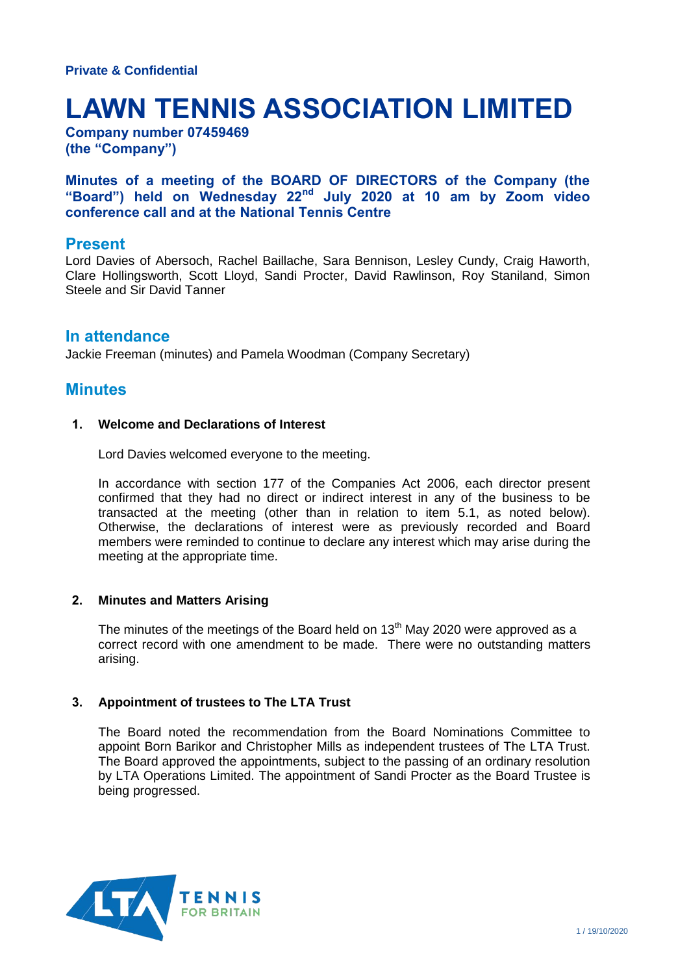# **LAWN TENNIS ASSOCIATION LIMITED**

**Company number 07459469 (the "Company")**

**Minutes of a meeting of the BOARD OF DIRECTORS of the Company (the "Board") held on Wednesday 22nd July 2020 at 10 am by Zoom video conference call and at the National Tennis Centre**

## **Present**

Lord Davies of Abersoch, Rachel Baillache, Sara Bennison, Lesley Cundy, Craig Haworth, Clare Hollingsworth, Scott Lloyd, Sandi Procter, David Rawlinson, Roy Staniland, Simon Steele and Sir David Tanner

## **In attendance**

Jackie Freeman (minutes) and Pamela Woodman (Company Secretary)

# **Minutes**

#### **1. Welcome and Declarations of Interest**

Lord Davies welcomed everyone to the meeting.

In accordance with section 177 of the Companies Act 2006, each director present confirmed that they had no direct or indirect interest in any of the business to be transacted at the meeting (other than in relation to item 5.1, as noted below). Otherwise, the declarations of interest were as previously recorded and Board members were reminded to continue to declare any interest which may arise during the meeting at the appropriate time.

#### **2. Minutes and Matters Arising**

The minutes of the meetings of the Board held on  $13<sup>th</sup>$  May 2020 were approved as a correct record with one amendment to be made. There were no outstanding matters arising.

#### **3. Appointment of trustees to The LTA Trust**

The Board noted the recommendation from the Board Nominations Committee to appoint Born Barikor and Christopher Mills as independent trustees of The LTA Trust. The Board approved the appointments, subject to the passing of an ordinary resolution by LTA Operations Limited. The appointment of Sandi Procter as the Board Trustee is being progressed.